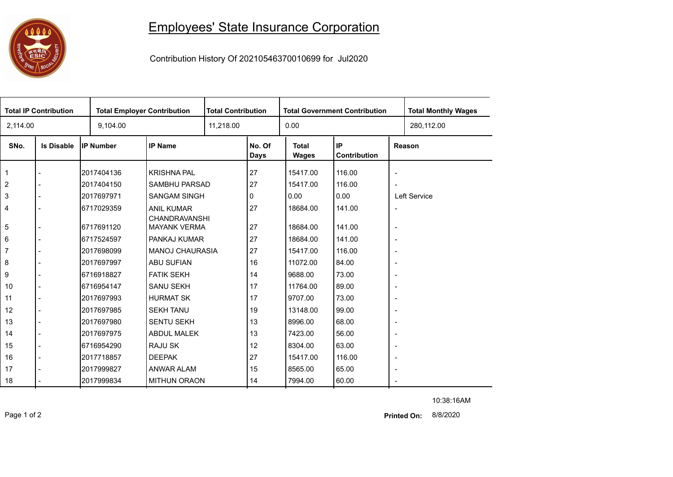

## Employees' State Insurance Corporation

Contribution History Of 20210546370010699 for Jul2020

| <b>Total IP Contribution</b> |                   |                  | <b>Total Employer Contribution</b>        |  | <b>Total Contribution</b> |                       | <b>Total Government Contribution</b> | <b>Total Monthly Wages</b> |            |  |
|------------------------------|-------------------|------------------|-------------------------------------------|--|---------------------------|-----------------------|--------------------------------------|----------------------------|------------|--|
| 2,114.00                     |                   | 9,104.00         |                                           |  | 11,218.00                 |                       |                                      |                            | 280,112.00 |  |
| SNo.                         | <b>Is Disable</b> | <b>IP Number</b> | <b>IP Name</b>                            |  | No. Of<br>Days            | <b>Total</b><br>Wages | IP<br>Contribution                   | Reason                     |            |  |
| $\mathbf 1$                  |                   | 2017404136       | <b>KRISHNA PAL</b>                        |  | 27                        | 15417.00              | 116.00                               | $\overline{a}$             |            |  |
| $\overline{2}$               |                   | 2017404150       | SAMBHU PARSAD                             |  | 27                        | 15417.00              | 116.00                               | $\overline{\phantom{a}}$   |            |  |
| 3                            |                   | 2017697971       | <b>SANGAM SINGH</b>                       |  | 0                         | 0.00                  | 0.00                                 | Left Service               |            |  |
| 4                            |                   | 6717029359       | <b>ANIL KUMAR</b><br><b>CHANDRAVANSHI</b> |  | 27                        | 18684.00              | 141.00                               | $\blacksquare$             |            |  |
| 5                            |                   | 6717691120       | <b>MAYANK VERMA</b>                       |  | 27                        | 18684.00              | 141.00                               | $\overline{\phantom{a}}$   |            |  |
| 6                            |                   | 6717524597       | PANKAJ KUMAR                              |  | 27                        | 18684.00              | 141.00                               | $\overline{a}$             |            |  |
| $\overline{7}$               |                   | 2017698099       | <b>MANOJ CHAURASIA</b>                    |  | 27                        | 15417.00              | 116.00                               | $\blacksquare$             |            |  |
| 8                            |                   | 2017697997       | <b>ABU SUFIAN</b>                         |  | 16                        | 11072.00              | 84.00                                | $\overline{\phantom{a}}$   |            |  |
| 9                            |                   | 6716918827       | <b>FATIK SEKH</b>                         |  | 14                        | 9688.00               | 73.00                                | $\overline{\phantom{a}}$   |            |  |
| 10                           | $\blacksquare$    | 6716954147       | <b>SANU SEKH</b>                          |  | 17                        | 11764.00              | 89.00                                | $\overline{\phantom{a}}$   |            |  |
| 11                           | $\overline{a}$    | 2017697993       | <b>HURMAT SK</b>                          |  | 17                        | 9707.00               | 73.00                                | $\overline{\phantom{a}}$   |            |  |
| 12                           |                   | 2017697985       | <b>SEKH TANU</b>                          |  | 19                        | 13148.00              | 99.00                                | $\overline{\phantom{a}}$   |            |  |
| 13                           |                   | 2017697980       | <b>SENTU SEKH</b>                         |  | 13                        | 8996.00               | 68.00                                | $\overline{\phantom{a}}$   |            |  |
| 14                           |                   | 2017697975       | ABDUL MALEK                               |  | 13                        | 7423.00               | 56.00                                | $\overline{\phantom{a}}$   |            |  |
| 15                           | $\blacksquare$    | 6716954290       | <b>RAJU SK</b>                            |  | 12                        | 8304.00               | 63.00                                | $\overline{\phantom{a}}$   |            |  |
| 16                           |                   | 2017718857       | <b>DEEPAK</b>                             |  | 27                        | 15417.00              | 116.00                               | $\blacksquare$             |            |  |
| 17                           |                   | 2017999827       | ANWAR ALAM                                |  | 15                        | 8565.00               | 65.00                                | $\blacksquare$             |            |  |
| 18                           |                   | 2017999834       | <b>MITHUN ORAON</b>                       |  | 14                        | 7994.00               | 60.00                                |                            |            |  |

10:38:16AM